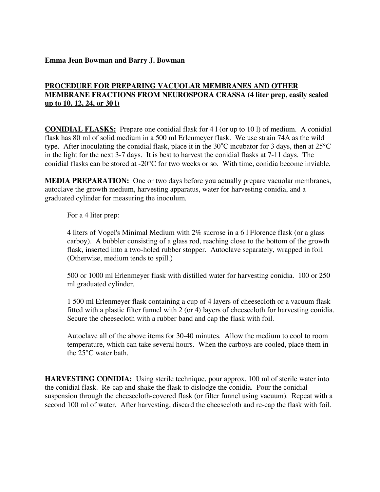#### **Emma Jean Bowman and Barry J. Bowman**

## **PROCEDURE FOR PREPARING VACUOLAR MEMBRANES AND OTHER MEMBRANE FRACTIONS FROM NEUROSPORA CRASSA (4 liter prep, easily scaled up to 10, 12, 24, or 30 l)**

**CONIDIAL FLASKS:** Prepare one conidial flask for 4 l (or up to 10 l) of medium. A conidial flask has 80 ml of solid medium in a 500 ml Erlenmeyer flask. We use strain 74A as the wild type. After inoculating the conidial flask, place it in the 30˚C incubator for 3 days, then at 25°C in the light for the next 3-7 days. It is best to harvest the conidial flasks at 7-11 days. The conidial flasks can be stored at -20°C for two weeks or so. With time, conidia become inviable.

**MEDIA PREPARATION:** One or two days before you actually prepare vacuolar membranes, autoclave the growth medium, harvesting apparatus, water for harvesting conidia, and a graduated cylinder for measuring the inoculum.

For a 4 liter prep:

4 liters of Vogel's Minimal Medium with 2% sucrose in a 6 l Florence flask (or a glass carboy). A bubbler consisting of a glass rod, reaching close to the bottom of the growth flask, inserted into a two-holed rubber stopper. Autoclave separately, wrapped in foil. (Otherwise, medium tends to spill.)

500 or 1000 ml Erlenmeyer flask with distilled water for harvesting conidia. 100 or 250 ml graduated cylinder.

1 500 ml Erlenmeyer flask containing a cup of 4 layers of cheesecloth or a vacuum flask fitted with a plastic filter funnel with 2 (or 4) layers of cheesecloth for harvesting conidia. Secure the cheesecloth with a rubber band and cap the flask with foil.

Autoclave all of the above items for 30-40 minutes. Allow the medium to cool to room temperature, which can take several hours. When the carboys are cooled, place them in the 25°C water bath.

**HARVESTING CONIDIA:** Using sterile technique, pour approx. 100 ml of sterile water into the conidial flask. Re-cap and shake the flask to dislodge the conidia. Pour the conidial suspension through the cheesecloth-covered flask (or filter funnel using vacuum). Repeat with a second 100 ml of water. After harvesting, discard the cheesecloth and re-cap the flask with foil.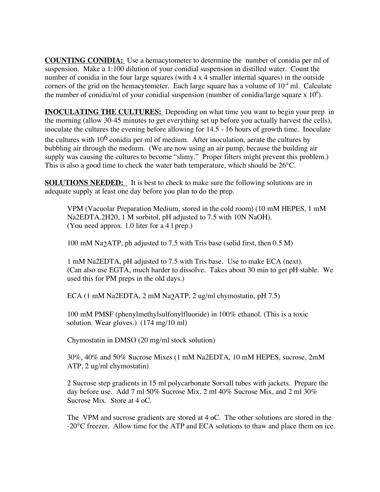**COUNTING CONIDIA:** Use a hemacytometer to determine the number of conidia per ml of suspension. Make a 1:100 dilution of your conidial suspension in distilled water. Count the number of conidia in the four large squares (with 4 x 4 smaller internal squares) in the outside corners of the grid on the hemacytometer. Each large square has a volume of  $10^{-4}$  ml. Calculate the number of conidia/ml of your conidial suspension (number of conidia/large square x  $10<sup>6</sup>$ ).

**INOCULATING THE CULTURES:** Depending on what time you want to begin your prep in the morning (allow 30-45 minutes to get everything set up before you actually harvest the cells), inoculate the cultures the evening before allowing for 14.5 - 16 hours of growth time. Inoculate

the cultures with  $10^6$  conidia per ml of medium. After inoculation, aerate the cultures by bubbling air through the medium. (We are now using an air pump, because the building air supply was causing the cultures to become "slimy." Proper filters might prevent this problem.) This is also a good time to check the water bath temperature, which should be 26°C.

**SOLUTIONS NEEDED:** It is best to check to make sure the following solutions are in adequate supply at least one day before you plan to do the prep.

VPM (Vacuolar Preparation Medium, stored in the cold room) (10 mM HEPES, 1 mM Na2EDTA.2H20, 1 M sorbitol, pH adjusted to 7.5 with 10N NaOH). (You need approx. 1.0 liter for a 4 l prep.)

100 mM Na2ATP, ph adjusted to 7.5 with Tris base (solid first, then 0.5 M)

1 mM Na2EDTA, pH adjusted to 7.5 with Tris base. Use to make ECA (next). (Can also use EGTA, much harder to dissolve. Takes about 30 min to get pH stable. We used this for PM preps in the old days.)

ECA (1 mM Na2EDTA, 2 mM Na2ATP, 2 ug/ml chymostatin, pH 7.5)

100 mM PMSF (phenylmethylsulfonylfluoride) in 100% ethanol. (This is a toxic solution. Wear gloves.) (174 mg/10 ml)

Chymostatin in DMSO (20 mg/ml stock solution)

30%, 40% and 50% Sucrose Mixes (1 mM Na2EDTA, 10 mM HEPES, sucrose, 2mM ATP, 2 ug/ml chymostatin)

2 Sucrose step gradients in 15 ml polycarbonate Sorvall tubes with jackets. Prepare the day before use. Add 7 ml 50% Sucrose Mix, 2 ml 40% Sucrose Mix, and 2 ml 30% Sucrose Mix. Store at 4 oC.

The VPM and sucrose gradients are stored at 4 oC. The other solutions are stored in the -20°C freezer. Allow time for the ATP and ECA solutions to thaw and place them on ice.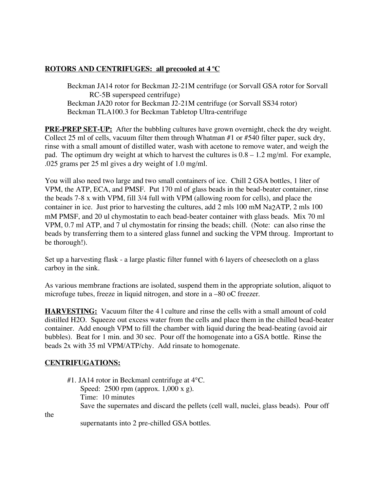# **ROTORS AND CENTRIFUGES: all precooled at 4 <sup>o</sup> C**

Beckman JA14 rotor for Beckman J2-21M centrifuge (or Sorvall GSA rotor for Sorvall RC-5B superspeed centrifuge) Beckman JA20 rotor for Beckman J2-21M centrifuge (or Sorvall SS34 rotor) Beckman TLA100.3 for Beckman Tabletop Ultra-centrifuge

**PRE-PREP SET-UP:** After the bubbling cultures have grown overnight, check the dry weight. Collect 25 ml of cells, vacuum filter them through Whatman #1 or #540 filter paper, suck dry, rinse with a small amount of distilled water, wash with acetone to remove water, and weigh the pad. The optimum dry weight at which to harvest the cultures is  $0.8 - 1.2$  mg/ml. For example, .025 grams per 25 ml gives a dry weight of 1.0 mg/ml.

You will also need two large and two small containers of ice. Chill 2 GSA bottles, 1 liter of VPM, the ATP, ECA, and PMSF. Put 170 ml of glass beads in the bead-beater container, rinse the beads 7-8 x with VPM, fill 3/4 full with VPM (allowing room for cells), and place the container in ice. Just prior to harvesting the cultures, add 2 mls 100 mM Na2ATP, 2 mls 100 mM PMSF, and 20 ul chymostatin to each bead-beater container with glass beads. Mix 70 ml VPM, 0.7 ml ATP, and 7 ul chymostatin for rinsing the beads; chill. (Note: can also rinse the beads by transferring them to a sintered glass funnel and sucking the VPM throug. Imprortant to be thorough!).

Set up a harvesting flask - a large plastic filter funnel with 6 layers of cheesecloth on a glass carboy in the sink.

As various membrane fractions are isolated, suspend them in the appropriate solution, aliquot to microfuge tubes, freeze in liquid nitrogen, and store in a –80 oC freezer.

**HARVESTING:** Vacuum filter the 4 l culture and rinse the cells with a small amount of cold distilled H2O. Squeeze out excess water from the cells and place them in the chilled bead-beater container. Add enough VPM to fill the chamber with liquid during the bead-beating (avoid air bubbles). Beat for 1 min. and 30 sec. Pour off the homogenate into a GSA bottle. Rinse the beads 2x with 35 ml VPM/ATP/chy. Add rinsate to homogenate.

## **CENTRIFUGATIONS:**

#1. JA14 rotor in Beckmanl centrifuge at 4°C. Speed: 2500 rpm (approx. 1,000 x g). Time: 10 minutes Save the supernates and discard the pellets (cell wall, nuclei, glass beads). Pour off

the

supernatants into 2 pre-chilled GSA bottles.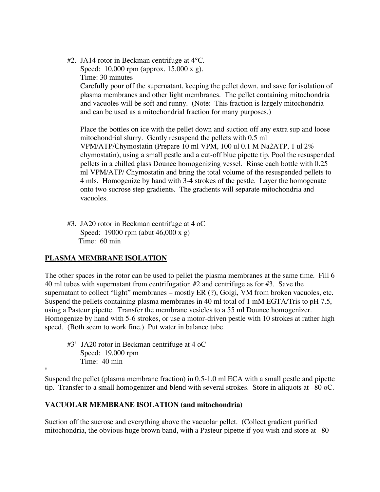#2. JA14 rotor in Beckman centrifuge at 4°C. Speed: 10,000 rpm (approx. 15,000 x g). Time: 30 minutes Carefully pour off the supernatant, keeping the pellet down, and save for isolation of plasma membranes and other light membranes. The pellet containing mitochondria and vacuoles will be soft and runny. (Note: This fraction is largely mitochondria and can be used as a mitochondrial fraction for many purposes.)

Place the bottles on ice with the pellet down and suction off any extra sup and loose mitochondrial slurry. Gently resuspend the pellets with 0.5 ml VPM/ATP/Chymostatin (Prepare 10 ml VPM, 100 ul 0.1 M Na2ATP, 1 ul 2% chymostatin), using a small pestle and a cut-off blue pipette tip. Pool the resuspended pellets in a chilled glass Dounce homogenizing vessel. Rinse each bottle with 0.25 ml VPM/ATP/ Chymostatin and bring the total volume of the resuspended pellets to 4 mls. Homogenize by hand with 3-4 strokes of the pestle. Layer the homogenate onto two sucrose step gradients. The gradients will separate mitochondria and vacuoles.

#3. JA20 rotor in Beckman centrifuge at 4 oC Speed: 19000 rpm (abut 46,000 x g) Time: 60 min

## **PLASMA MEMBRANE ISOLATION**

The other spaces in the rotor can be used to pellet the plasma membranes at the same time. Fill 6 40 ml tubes with supernatant from centrifugation #2 and centrifuge as for #3. Save the supernatant to collect "light" membranes – mostly ER (?), Golgi, VM from broken vacuoles, etc. Suspend the pellets containing plasma membranes in 40 ml total of 1 mM EGTA/Tris to pH 7.5, using a Pasteur pipette. Transfer the membrane vesicles to a 55 ml Dounce homogenizer. Homogenize by hand with 5-6 strokes, or use a motor-driven pestle with 10 strokes at rather high speed. (Both seem to work fine.) Put water in balance tube.

#3' JA20 rotor in Beckman centrifuge at 4 oC Speed: 19,000 rpm Time: 40 min

 $^{\prime\prime}$ 

Suspend the pellet (plasma membrane fraction) in 0.5-1.0 ml ECA with a small pestle and pipette tip. Transfer to a small homogenizer and blend with several strokes. Store in aliquots at –80 oC.

## **VACUOLAR MEMBRANE ISOLATION (and mitochondria)**

Suction off the sucrose and everything above the vacuolar pellet. (Collect gradient purified mitochondria, the obvious huge brown band, with a Pasteur pipette if you wish and store at –80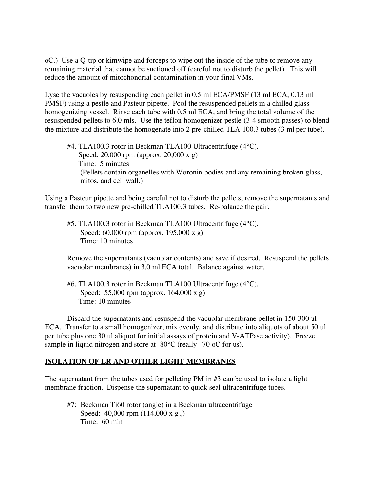oC.) Use a Q-tip or kimwipe and forceps to wipe out the inside of the tube to remove any remaining material that cannot be suctioned off (careful not to disturb the pellet). This will reduce the amount of mitochondrial contamination in your final VMs.

Lyse the vacuoles by resuspending each pellet in 0.5 ml ECA/PMSF (13 ml ECA, 0.13 ml PMSF) using a pestle and Pasteur pipette. Pool the resuspended pellets in a chilled glass homogenizing vessel. Rinse each tube with 0.5 ml ECA, and bring the total volume of the resuspended pellets to 6.0 mls. Use the teflon homogenizer pestle (3-4 smooth passes) to blend the mixture and distribute the homogenate into 2 pre-chilled TLA 100.3 tubes (3 ml per tube).

#4. TLA100.3 rotor in Beckman TLA100 Ultracentrifuge (4°C). Speed: 20,000 rpm (approx. 20,000 x g) Time: 5 minutes (Pellets contain organelles with Woronin bodies and any remaining broken glass, mitos, and cell wall.)

Using a Pasteur pipette and being careful not to disturb the pellets, remove the supernatants and transfer them to two new pre-chilled TLA100.3 tubes. Re-balance the pair.

#5. TLA100.3 rotor in Beckman TLA100 Ultracentrifuge (4°C). Speed: 60,000 rpm (approx. 195,000 x g) Time: 10 minutes

Remove the supernatants (vacuolar contents) and save if desired. Resuspend the pellets vacuolar membranes) in 3.0 ml ECA total. Balance against water.

#6. TLA100.3 rotor in Beckman TLA100 Ultracentrifuge (4°C). Speed: 55,000 rpm (approx. 164,000 x g) Time: 10 minutes

Discard the supernatants and resuspend the vacuolar membrane pellet in 150-300 ul ECA. Transfer to a small homogenizer, mix evenly, and distribute into aliquots of about 50 ul per tube plus one 30 ul aliquot for initial assays of protein and V-ATPase activity). Freeze sample in liquid nitrogen and store at -80°C (really –70 oC for us).

#### **ISOLATION OF ER AND OTHER LIGHT MEMBRANES**

The supernatant from the tubes used for pelleting PM in #3 can be used to isolate a light membrane fraction. Dispense the supernatant to quick seal ultracentrifuge tubes.

#7: Beckman Ti60 rotor (angle) in a Beckman ultracentrifuge Speed:  $40,000$  rpm  $(114,000 \text{ x g}_{av})$ Time: 60 min